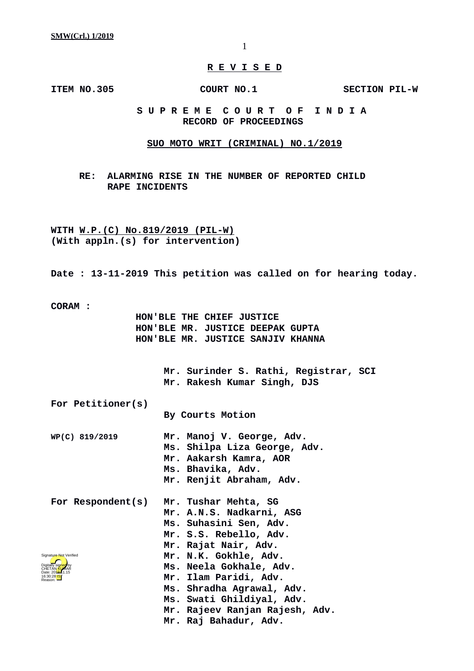## **R E V I S E D**

**ITEM NO.305 COURT NO.1** SECTION PIL-W

## **S U P R E M E C O U R T O F I N D I A RECORD OF PROCEEDINGS**

#### **SUO MOTO WRIT (CRIMINAL) NO.1/2019**

**RE: ALARMING RISE IN THE NUMBER OF REPORTED CHILD RAPE INCIDENTS**

**WITH W.P.(C) No.819/2019 (PIL-W) (With appln.(s) for intervention)**

**Date : 13-11-2019 This petition was called on for hearing today.**

**CORAM :** 

 **HON'BLE THE CHIEF JUSTICE HON'BLE MR. JUSTICE DEEPAK GUPTA HON'BLE MR. JUSTICE SANJIV KHANNA**

> **Mr. Surinder S. Rathi, Registrar, SCI Mr. Rakesh Kumar Singh, DJS**

**For Petitioner(s) By Courts Motion**

- **WP(C) 819/2019 Mr. Manoj V. George, Adv. Ms. Shilpa Liza George, Adv. Mr. Aakarsh Kamra, AOR Ms. Bhavika, Adv. Mr. Renjit Abraham, Adv.**
- **For Respondent(s) Mr. Tushar Mehta, SG Mr. A.N.S. Nadkarni, ASG Ms. Suhasini Sen, Adv. Mr. S.S. Rebello, Adv. Mr. Rajat Nair, Adv. Mr. N.K. Gokhle, Adv. Ms. Neela Gokhale, Adv. Mr. Ilam Paridi, Adv. Ms. Shradha Agrawal, Adv. Ms. Swati Ghildiyal, Adv. Mr. Rajeev Ranjan Rajesh, Adv.** Digitally signed by CHETAN <mark>KU</mark>MAR Date: 2010.11.15 16:30:28 IST Reason: Signature Not Verified
	- **Mr. Raj Bahadur, Adv.**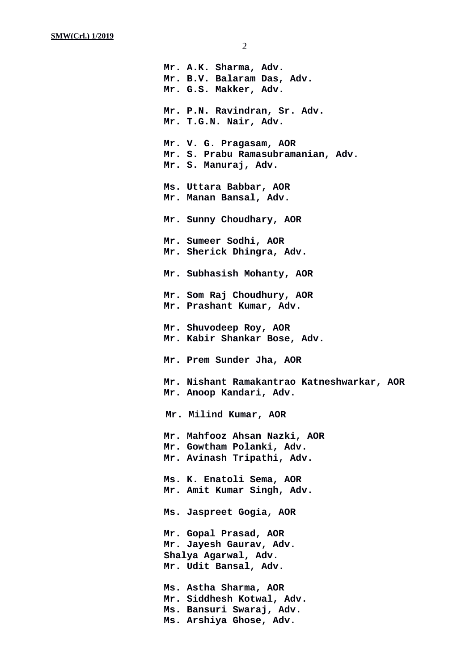**Mr. A.K. Sharma, Adv. Mr. B.V. Balaram Das, Adv. Mr. G.S. Makker, Adv. Mr. P.N. Ravindran, Sr. Adv. Mr. T.G.N. Nair, Adv. Mr. V. G. Pragasam, AOR Mr. S. Prabu Ramasubramanian, Adv. Mr. S. Manuraj, Adv. Ms. Uttara Babbar, AOR Mr. Manan Bansal, Adv. Mr. Sunny Choudhary, AOR Mr. Sumeer Sodhi, AOR Mr. Sherick Dhingra, Adv. Mr. Subhasish Mohanty, AOR Mr. Som Raj Choudhury, AOR Mr. Prashant Kumar, Adv. Mr. Shuvodeep Roy, AOR Mr. Kabir Shankar Bose, Adv. Mr. Prem Sunder Jha, AOR Mr. Nishant Ramakantrao Katneshwarkar, AOR Mr. Anoop Kandari, Adv. Mr. Milind Kumar, AOR Mr. Mahfooz Ahsan Nazki, AOR Mr. Gowtham Polanki, Adv. Mr. Avinash Tripathi, Adv. Ms. K. Enatoli Sema, AOR Mr. Amit Kumar Singh, Adv. Ms. Jaspreet Gogia, AOR Mr. Gopal Prasad, AOR Mr. Jayesh Gaurav, Adv. Shalya Agarwal, Adv. Mr. Udit Bansal, Adv. Ms. Astha Sharma, AOR Mr. Siddhesh Kotwal, Adv. Ms. Bansuri Swaraj, Adv. Ms. Arshiya Ghose, Adv.**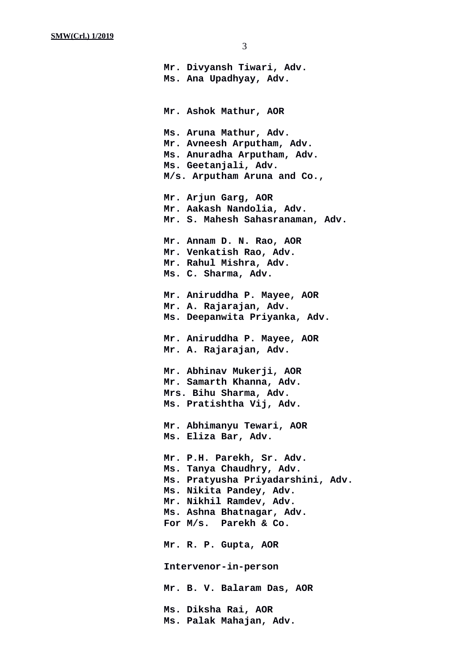**Mr. Divyansh Tiwari, Adv. Ms. Ana Upadhyay, Adv. Mr. Ashok Mathur, AOR Ms. Aruna Mathur, Adv. Mr. Avneesh Arputham, Adv. Ms. Anuradha Arputham, Adv. Ms. Geetanjali, Adv. M/s. Arputham Aruna and Co., Mr. Arjun Garg, AOR Mr. Aakash Nandolia, Adv. Mr. S. Mahesh Sahasranaman, Adv. Mr. Annam D. N. Rao, AOR Mr. Venkatish Rao, Adv. Mr. Rahul Mishra, Adv. Ms. C. Sharma, Adv. Mr. Aniruddha P. Mayee, AOR Mr. A. Rajarajan, Adv. Ms. Deepanwita Priyanka, Adv. Mr. Aniruddha P. Mayee, AOR Mr. A. Rajarajan, Adv. Mr. Abhinav Mukerji, AOR Mr. Samarth Khanna, Adv. Mrs. Bihu Sharma, Adv. Ms. Pratishtha Vij, Adv. Mr. Abhimanyu Tewari, AOR Ms. Eliza Bar, Adv. Mr. P.H. Parekh, Sr. Adv. Ms. Tanya Chaudhry, Adv. Ms. Pratyusha Priyadarshini, Adv. Ms. Nikita Pandey, Adv. Mr. Nikhil Ramdev, Adv. Ms. Ashna Bhatnagar, Adv. For M/s. Parekh & Co. Mr. R. P. Gupta, AOR Intervenor-in-person Mr. B. V. Balaram Das, AOR Ms. Diksha Rai, AOR Ms. Palak Mahajan, Adv.**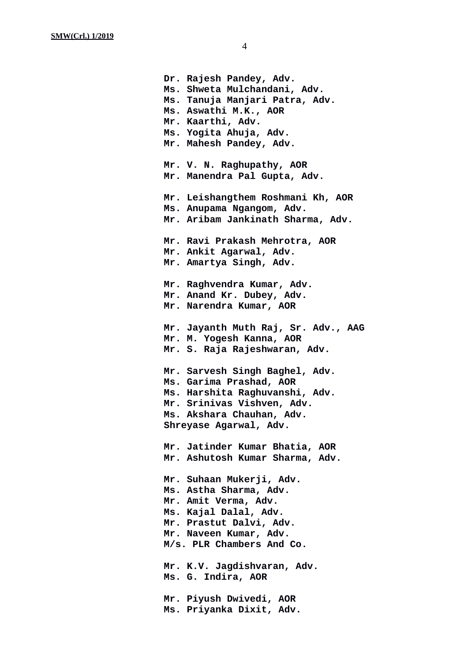**Dr. Rajesh Pandey, Adv. Ms. Shweta Mulchandani, Adv. Ms. Tanuja Manjari Patra, Adv. Ms. Aswathi M.K., AOR Mr. Kaarthi, Adv. Ms. Yogita Ahuja, Adv. Mr. Mahesh Pandey, Adv. Mr. V. N. Raghupathy, AOR Mr. Manendra Pal Gupta, Adv. Mr. Leishangthem Roshmani Kh, AOR Ms. Anupama Ngangom, Adv. Mr. Aribam Jankinath Sharma, Adv. Mr. Ravi Prakash Mehrotra, AOR Mr. Ankit Agarwal, Adv. Mr. Amartya Singh, Adv. Mr. Raghvendra Kumar, Adv. Mr. Anand Kr. Dubey, Adv. Mr. Narendra Kumar, AOR Mr. Jayanth Muth Raj, Sr. Adv., AAG Mr. M. Yogesh Kanna, AOR Mr. S. Raja Rajeshwaran, Adv. Mr. Sarvesh Singh Baghel, Adv. Ms. Garima Prashad, AOR Ms. Harshita Raghuvanshi, Adv. Mr. Srinivas Vishven, Adv. Ms. Akshara Chauhan, Adv. Shreyase Agarwal, Adv. Mr. Jatinder Kumar Bhatia, AOR Mr. Ashutosh Kumar Sharma, Adv. Mr. Suhaan Mukerji, Adv. Ms. Astha Sharma, Adv. Mr. Amit Verma, Adv. Ms. Kajal Dalal, Adv. Mr. Prastut Dalvi, Adv. Mr. Naveen Kumar, Adv. M/s. PLR Chambers And Co. Mr. K.V. Jagdishvaran, Adv. Ms. G. Indira, AOR Mr. Piyush Dwivedi, AOR Ms. Priyanka Dixit, Adv.**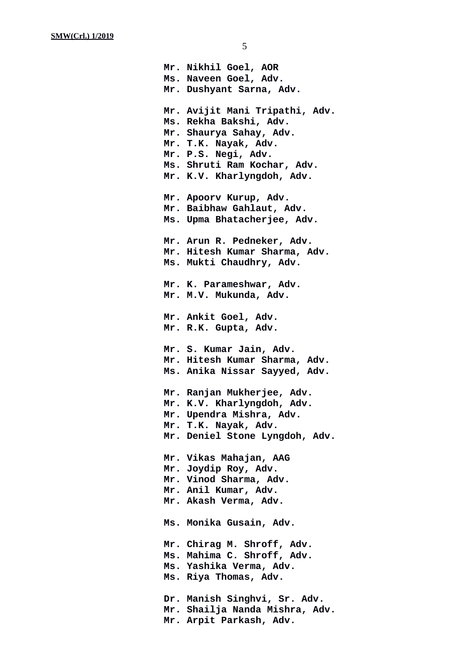**Mr. Nikhil Goel, AOR Ms. Naveen Goel, Adv. Mr. Dushyant Sarna, Adv. Mr. Avijit Mani Tripathi, Adv. Ms. Rekha Bakshi, Adv. Mr. Shaurya Sahay, Adv. Mr. T.K. Nayak, Adv. Mr. P.S. Negi, Adv. Ms. Shruti Ram Kochar, Adv. Mr. K.V. Kharlyngdoh, Adv. Mr. Apoorv Kurup, Adv. Mr. Baibhaw Gahlaut, Adv. Ms. Upma Bhatacherjee, Adv. Mr. Arun R. Pedneker, Adv. Mr. Hitesh Kumar Sharma, Adv. Ms. Mukti Chaudhry, Adv. Mr. K. Parameshwar, Adv. Mr. M.V. Mukunda, Adv. Mr. Ankit Goel, Adv. Mr. R.K. Gupta, Adv. Mr. S. Kumar Jain, Adv. Mr. Hitesh Kumar Sharma, Adv. Ms. Anika Nissar Sayyed, Adv. Mr. Ranjan Mukherjee, Adv. Mr. K.V. Kharlyngdoh, Adv. Mr. Upendra Mishra, Adv. Mr. T.K. Nayak, Adv. Mr. Deniel Stone Lyngdoh, Adv. Mr. Vikas Mahajan, AAG Mr. Joydip Roy, Adv. Mr. Vinod Sharma, Adv. Mr. Anil Kumar, Adv. Mr. Akash Verma, Adv. Ms. Monika Gusain, Adv. Mr. Chirag M. Shroff, Adv. Ms. Mahima C. Shroff, Adv. Ms. Yashika Verma, Adv. Ms. Riya Thomas, Adv. Dr. Manish Singhvi, Sr. Adv. Mr. Shailja Nanda Mishra, Adv. Mr. Arpit Parkash, Adv.**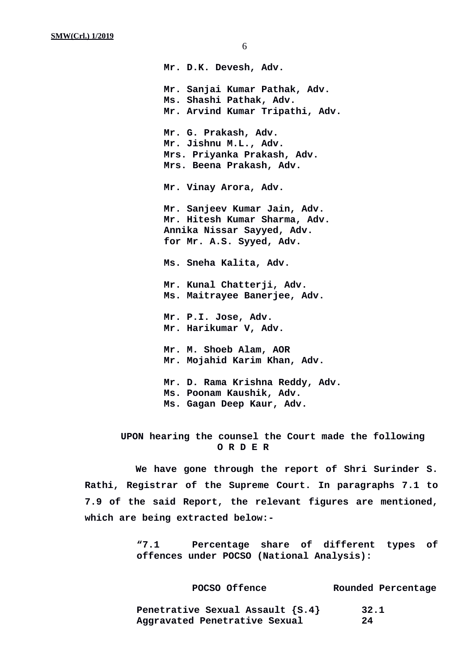**Mr. D.K. Devesh, Adv. Mr. Sanjai Kumar Pathak, Adv. Ms. Shashi Pathak, Adv. Mr. Arvind Kumar Tripathi, Adv. Mr. G. Prakash, Adv. Mr. Jishnu M.L., Adv. Mrs. Priyanka Prakash, Adv. Mrs. Beena Prakash, Adv. Mr. Vinay Arora, Adv. Mr. Sanjeev Kumar Jain, Adv. Mr. Hitesh Kumar Sharma, Adv. Annika Nissar Sayyed, Adv. for Mr. A.S. Syyed, Adv. Ms. Sneha Kalita, Adv. Mr. Kunal Chatterji, Adv. Ms. Maitrayee Banerjee, Adv. Mr. P.I. Jose, Adv. Mr. Harikumar V, Adv. Mr. M. Shoeb Alam, AOR Mr. Mojahid Karim Khan, Adv. Mr. D. Rama Krishna Reddy, Adv. Ms. Poonam Kaushik, Adv.**

**Ms. Gagan Deep Kaur, Adv.**

**UPON hearing the counsel the Court made the following O R D E R**

**We have gone through the report of Shri Surinder S. Rathi, Registrar of the Supreme Court. In paragraphs 7.1 to 7.9 of the said Report, the relevant figures are mentioned, which are being extracted below:-**

> **"7.1 Percentage share of different types of offences under POCSO (National Analysis):**

| POCSO Offence                    | Rounded Percentage |
|----------------------------------|--------------------|
| Penetrative Sexual Assault {S.4} | 32.1               |
| Aggravated Penetrative Sexual    | 24                 |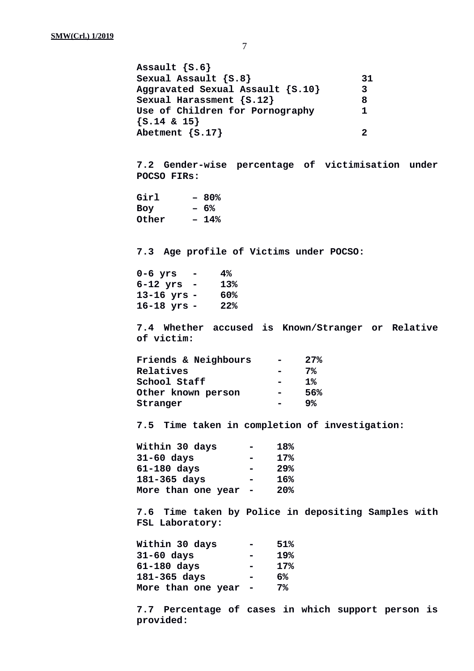**Assault {S.6} Sexual Assault {S.8} 31 Aggravated Sexual Assault {S.10} 3 Sexual Harassment {S.12} 8 Use of Children for Pornography 1 {S.14 & 15} Abetment {S.17} 2 7.2 Gender-wise percentage of victimisation under POCSO FIRs: Girl – 80% Boy – 6% Other – 14% 7.3 Age profile of Victims under POCSO: 0-6 yrs - 4% 6-12 yrs - 13% 13-16 yrs - 60% 16-18 yrs - 22% 7.4 Whether accused is Known/Stranger or Relative of victim: Friends & Neighbours - 27% Relatives - 7% School Staff - 1% Other known person - 56% Stranger - 9% 7.5 Time taken in completion of investigation: Within 30 days - 18% 31-60 days - 17% 61-180 days - 29% 181-365 days - 16% More than one year - 20% 7.6 Time taken by Police in depositing Samples with FSL Laboratory: Within 30 days - 51% 31-60 days - 19% 61-180 days - 17% 181-365 days - 6% More than one year - 7% 7.7 Percentage of cases in which support person is**

**provided:**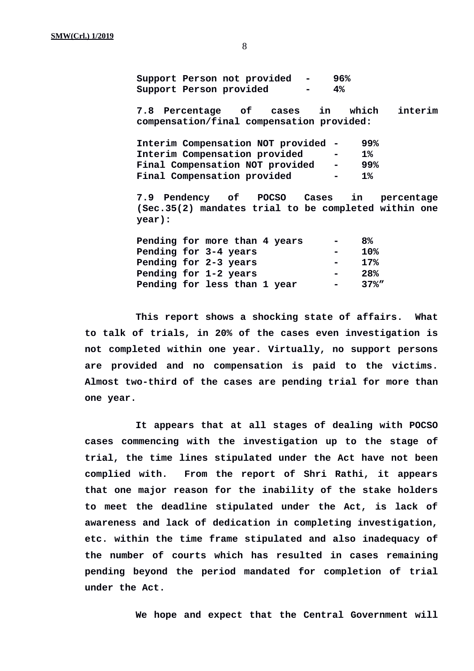**Support Person not provided - 96% Support Person provided - 4%**

**7.8 Percentage of cases in which interim compensation/final compensation provided:**

| Interim Compensation NOT provided -    |                | 99%       |
|----------------------------------------|----------------|-----------|
| Interim Compensation provided          | <b>COL</b>     | <b>1%</b> |
| <b>Final Compensation NOT provided</b> | $\sim 100$     | 99%       |
| <b>Final Compensation provided</b>     | $\blacksquare$ | $1\%$     |

**7.9 Pendency of POCSO Cases in percentage (Sec.35(2) mandates trial to be completed within one year):**

|  | Pending for more than 4 years | $\blacksquare$ | 8%       |
|--|-------------------------------|----------------|----------|
|  | Pending for 3-4 years         | $\blacksquare$ | 10%      |
|  | Pending for 2-3 years         |                | 17%      |
|  | Pending for 1-2 years         | $\blacksquare$ | 28%      |
|  | Pending for less than 1 year  |                | $37\%$ " |

**This report shows a shocking state of affairs. What to talk of trials, in 20% of the cases even investigation is not completed within one year. Virtually, no support persons are provided and no compensation is paid to the victims. Almost two-third of the cases are pending trial for more than one year.**

**It appears that at all stages of dealing with POCSO cases commencing with the investigation up to the stage of trial, the time lines stipulated under the Act have not been complied with. From the report of Shri Rathi, it appears that one major reason for the inability of the stake holders to meet the deadline stipulated under the Act, is lack of awareness and lack of dedication in completing investigation, etc. within the time frame stipulated and also inadequacy of the number of courts which has resulted in cases remaining pending beyond the period mandated for completion of trial under the Act.**

**We hope and expect that the Central Government will**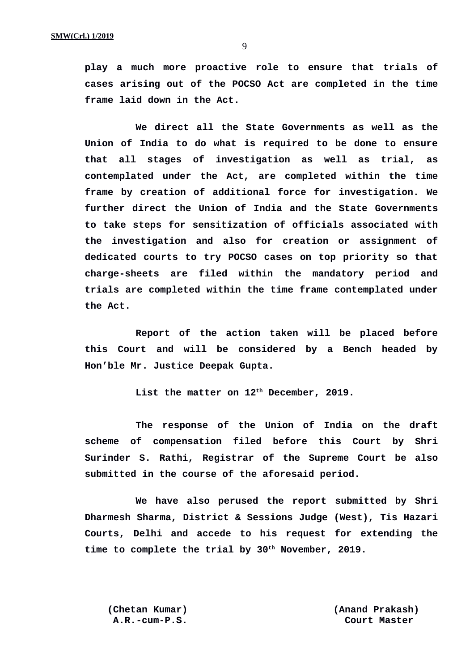**play a much more proactive role to ensure that trials of cases arising out of the POCSO Act are completed in the time frame laid down in the Act.**

**We direct all the State Governments as well as the Union of India to do what is required to be done to ensure that all stages of investigation as well as trial, as contemplated under the Act, are completed within the time frame by creation of additional force for investigation. We further direct the Union of India and the State Governments to take steps for sensitization of officials associated with the investigation and also for creation or assignment of dedicated courts to try POCSO cases on top priority so that charge-sheets are filed within the mandatory period and trials are completed within the time frame contemplated under the Act.** 

**Report of the action taken will be placed before this Court and will be considered by a Bench headed by Hon'ble Mr. Justice Deepak Gupta.**

**List the matter on 12th December, 2019.**

**The response of the Union of India on the draft scheme of compensation filed before this Court by Shri Surinder S. Rathi, Registrar of the Supreme Court be also submitted in the course of the aforesaid period.**

**We have also perused the report submitted by Shri Dharmesh Sharma, District & Sessions Judge (West), Tis Hazari Courts, Delhi and accede to his request for extending the time to complete the trial by 30th November, 2019.**

**(Chetan Kumar) (Anand Prakash) A.R.-cum-P.S. Court Master**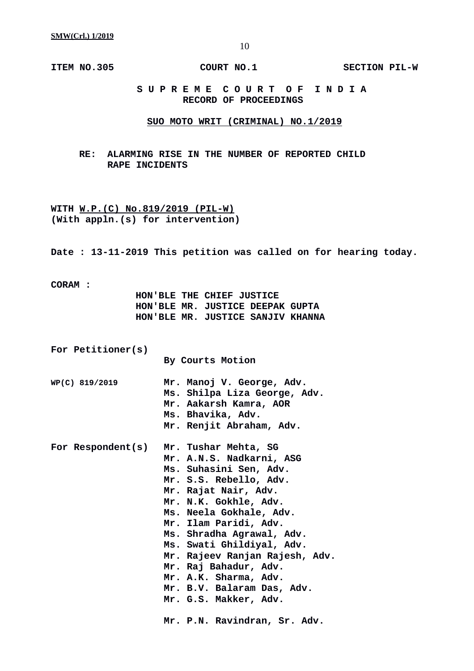**ITEM NO.305 COURT NO.1** SECTION PIL-W

 **S U P R E M E C O U R T O F I N D I A RECORD OF PROCEEDINGS**

## **SUO MOTO WRIT (CRIMINAL) NO.1/2019**

**RE: ALARMING RISE IN THE NUMBER OF REPORTED CHILD RAPE INCIDENTS**

**WITH W.P.(C) No.819/2019 (PIL-W) (With appln.(s) for intervention)**

**Date : 13-11-2019 This petition was called on for hearing today.**

**CORAM :** 

|  | HON'BLE THE CHIEF JUSTICE         |  |
|--|-----------------------------------|--|
|  | HON'BLE MR. JUSTICE DEEPAK GUPTA  |  |
|  | HON'BLE MR. JUSTICE SANJIV KHANNA |  |

| For Petitioner(s) | <b>By Courts Motion</b>                                                                                                                                                                                                                                                                                                                                                                                                                        |
|-------------------|------------------------------------------------------------------------------------------------------------------------------------------------------------------------------------------------------------------------------------------------------------------------------------------------------------------------------------------------------------------------------------------------------------------------------------------------|
| WP(C) 819/2019    | Mr. Manoj V. George, Adv.<br>Ms. Shilpa Liza George, Adv.<br>Mr. Aakarsh Kamra, AOR<br>Ms. Bhavika, Adv.<br>Mr. Renjit Abraham, Adv.                                                                                                                                                                                                                                                                                                           |
| For Respondent(s) | Mr. Tushar Mehta, SG<br>Mr. A.N.S. Nadkarni, ASG<br>Ms. Suhasini Sen, Adv.<br>Mr. S.S. Rebello, Adv.<br>Mr. Rajat Nair, Adv.<br>Mr. N.K. Gokhle, Adv.<br>Ms. Neela Gokhale, Adv.<br>Mr. Ilam Paridi, Adv.<br>Ms. Shradha Agrawal, Adv.<br>Ms. Swati Ghildiyal, Adv.<br>Mr. Rajeev Ranjan Rajesh, Adv.<br>Mr. Raj Bahadur, Adv.<br>Mr. A.K. Sharma, Adv.<br>Mr. B.V. Balaram Das, Adv.<br>Mr. G.S. Makker, Adv.<br>Mr. P.N. Ravindran, Sr. Adv. |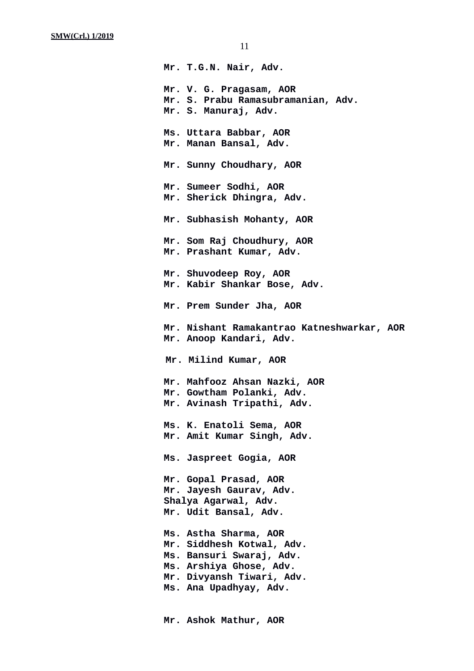**Mr. T.G.N. Nair, Adv. Mr. V. G. Pragasam, AOR Mr. S. Prabu Ramasubramanian, Adv. Mr. S. Manuraj, Adv. Ms. Uttara Babbar, AOR Mr. Manan Bansal, Adv. Mr. Sunny Choudhary, AOR Mr. Sumeer Sodhi, AOR Mr. Sherick Dhingra, Adv. Mr. Subhasish Mohanty, AOR Mr. Som Raj Choudhury, AOR Mr. Prashant Kumar, Adv. Mr. Shuvodeep Roy, AOR Mr. Kabir Shankar Bose, Adv. Mr. Prem Sunder Jha, AOR Mr. Nishant Ramakantrao Katneshwarkar, AOR Mr. Anoop Kandari, Adv. Mr. Milind Kumar, AOR Mr. Mahfooz Ahsan Nazki, AOR Mr. Gowtham Polanki, Adv. Mr. Avinash Tripathi, Adv. Ms. K. Enatoli Sema, AOR Mr. Amit Kumar Singh, Adv. Ms. Jaspreet Gogia, AOR Mr. Gopal Prasad, AOR Mr. Jayesh Gaurav, Adv. Shalya Agarwal, Adv. Mr. Udit Bansal, Adv. Ms. Astha Sharma, AOR Mr. Siddhesh Kotwal, Adv. Ms. Bansuri Swaraj, Adv. Ms. Arshiya Ghose, Adv. Mr. Divyansh Tiwari, Adv. Ms. Ana Upadhyay, Adv.**

 **Mr. Ashok Mathur, AOR**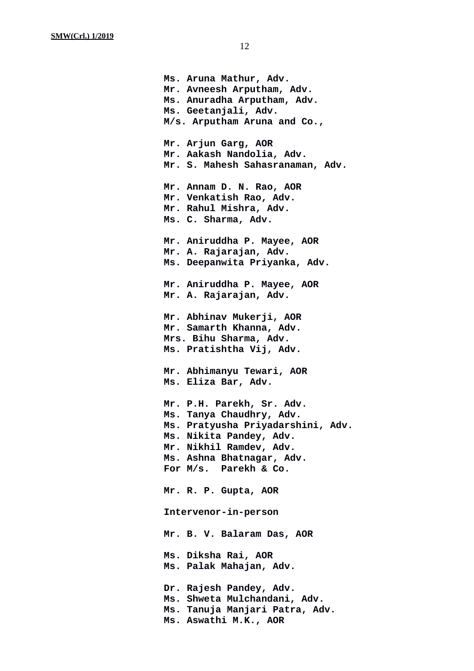**Ms. Aruna Mathur, Adv. Mr. Avneesh Arputham, Adv. Ms. Anuradha Arputham, Adv. Ms. Geetanjali, Adv. M/s. Arputham Aruna and Co., Mr. Arjun Garg, AOR Mr. Aakash Nandolia, Adv. Mr. S. Mahesh Sahasranaman, Adv. Mr. Annam D. N. Rao, AOR Mr. Venkatish Rao, Adv. Mr. Rahul Mishra, Adv. Ms. C. Sharma, Adv. Mr. Aniruddha P. Mayee, AOR Mr. A. Rajarajan, Adv. Ms. Deepanwita Priyanka, Adv. Mr. Aniruddha P. Mayee, AOR Mr. A. Rajarajan, Adv. Mr. Abhinav Mukerji, AOR Mr. Samarth Khanna, Adv. Mrs. Bihu Sharma, Adv. Ms. Pratishtha Vij, Adv. Mr. Abhimanyu Tewari, AOR Ms. Eliza Bar, Adv. Mr. P.H. Parekh, Sr. Adv. Ms. Tanya Chaudhry, Adv. Ms. Pratyusha Priyadarshini, Adv. Ms. Nikita Pandey, Adv. Mr. Nikhil Ramdev, Adv. Ms. Ashna Bhatnagar, Adv. For M/s. Parekh & Co. Mr. R. P. Gupta, AOR Intervenor-in-person Mr. B. V. Balaram Das, AOR Ms. Diksha Rai, AOR Ms. Palak Mahajan, Adv. Dr. Rajesh Pandey, Adv. Ms. Shweta Mulchandani, Adv. Ms. Tanuja Manjari Patra, Adv. Ms. Aswathi M.K., AOR**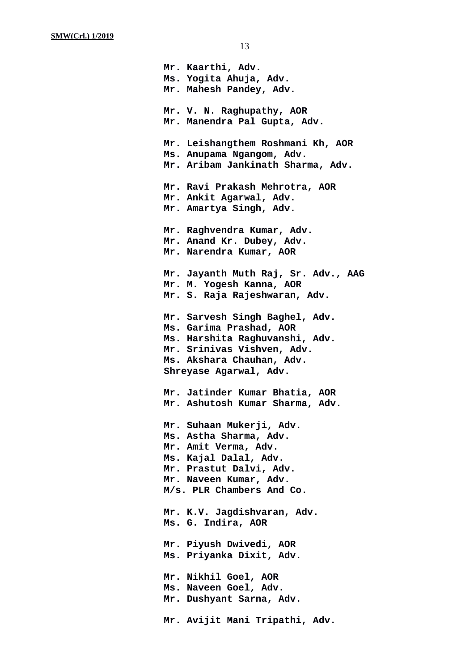**Mr. Kaarthi, Adv. Ms. Yogita Ahuja, Adv. Mr. Mahesh Pandey, Adv. Mr. V. N. Raghupathy, AOR Mr. Manendra Pal Gupta, Adv. Mr. Leishangthem Roshmani Kh, AOR Ms. Anupama Ngangom, Adv. Mr. Aribam Jankinath Sharma, Adv. Mr. Ravi Prakash Mehrotra, AOR Mr. Ankit Agarwal, Adv. Mr. Amartya Singh, Adv. Mr. Raghvendra Kumar, Adv. Mr. Anand Kr. Dubey, Adv. Mr. Narendra Kumar, AOR Mr. Jayanth Muth Raj, Sr. Adv., AAG Mr. M. Yogesh Kanna, AOR Mr. S. Raja Rajeshwaran, Adv. Mr. Sarvesh Singh Baghel, Adv. Ms. Garima Prashad, AOR Ms. Harshita Raghuvanshi, Adv. Mr. Srinivas Vishven, Adv. Ms. Akshara Chauhan, Adv. Shreyase Agarwal, Adv. Mr. Jatinder Kumar Bhatia, AOR Mr. Ashutosh Kumar Sharma, Adv. Mr. Suhaan Mukerji, Adv. Ms. Astha Sharma, Adv. Mr. Amit Verma, Adv. Ms. Kajal Dalal, Adv. Mr. Prastut Dalvi, Adv. Mr. Naveen Kumar, Adv. M/s. PLR Chambers And Co. Mr. K.V. Jagdishvaran, Adv. Ms. G. Indira, AOR Mr. Piyush Dwivedi, AOR Ms. Priyanka Dixit, Adv. Mr. Nikhil Goel, AOR Ms. Naveen Goel, Adv. Mr. Dushyant Sarna, Adv. Mr. Avijit Mani Tripathi, Adv.**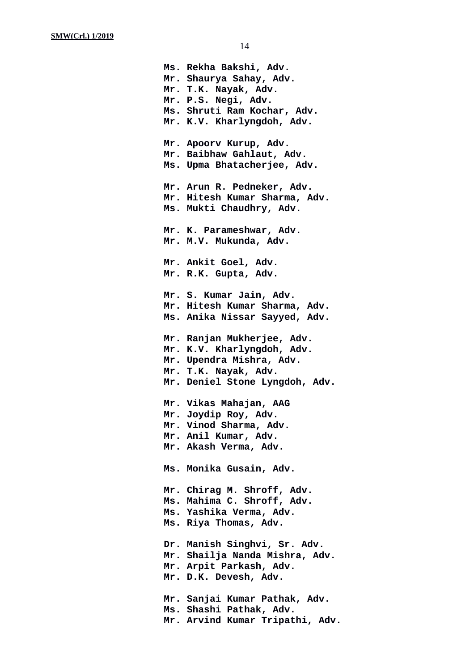**Ms. Rekha Bakshi, Adv. Mr. Shaurya Sahay, Adv. Mr. T.K. Nayak, Adv. Mr. P.S. Negi, Adv. Ms. Shruti Ram Kochar, Adv. Mr. K.V. Kharlyngdoh, Adv. Mr. Apoorv Kurup, Adv. Mr. Baibhaw Gahlaut, Adv. Ms. Upma Bhatacherjee, Adv. Mr. Arun R. Pedneker, Adv. Mr. Hitesh Kumar Sharma, Adv. Ms. Mukti Chaudhry, Adv. Mr. K. Parameshwar, Adv. Mr. M.V. Mukunda, Adv. Mr. Ankit Goel, Adv. Mr. R.K. Gupta, Adv. Mr. S. Kumar Jain, Adv. Mr. Hitesh Kumar Sharma, Adv. Ms. Anika Nissar Sayyed, Adv. Mr. Ranjan Mukherjee, Adv. Mr. K.V. Kharlyngdoh, Adv. Mr. Upendra Mishra, Adv. Mr. T.K. Nayak, Adv. Mr. Deniel Stone Lyngdoh, Adv. Mr. Vikas Mahajan, AAG Mr. Joydip Roy, Adv. Mr. Vinod Sharma, Adv. Mr. Anil Kumar, Adv. Mr. Akash Verma, Adv. Ms. Monika Gusain, Adv. Mr. Chirag M. Shroff, Adv. Ms. Mahima C. Shroff, Adv. Ms. Yashika Verma, Adv. Ms. Riya Thomas, Adv. Dr. Manish Singhvi, Sr. Adv. Mr. Shailja Nanda Mishra, Adv. Mr. Arpit Parkash, Adv. Mr. D.K. Devesh, Adv. Mr. Sanjai Kumar Pathak, Adv. Ms. Shashi Pathak, Adv. Mr. Arvind Kumar Tripathi, Adv.**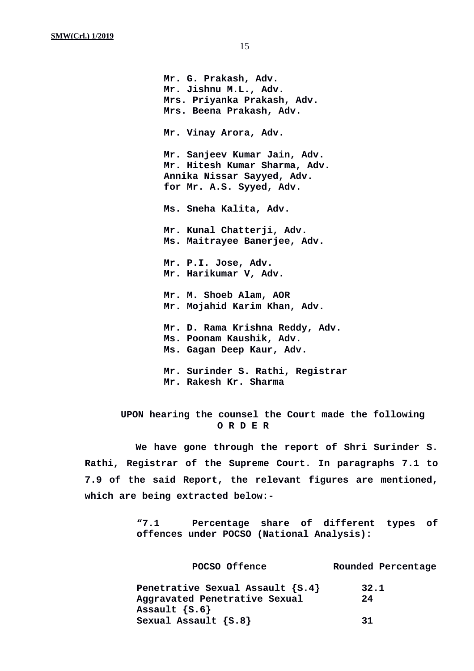**Mr. G. Prakash, Adv. Mr. Jishnu M.L., Adv. Mrs. Priyanka Prakash, Adv. Mrs. Beena Prakash, Adv. Mr. Vinay Arora, Adv. Mr. Sanjeev Kumar Jain, Adv. Mr. Hitesh Kumar Sharma, Adv. Annika Nissar Sayyed, Adv. for Mr. A.S. Syyed, Adv. Ms. Sneha Kalita, Adv. Mr. Kunal Chatterji, Adv. Ms. Maitrayee Banerjee, Adv. Mr. P.I. Jose, Adv. Mr. Harikumar V, Adv. Mr. M. Shoeb Alam, AOR Mr. Mojahid Karim Khan, Adv. Mr. D. Rama Krishna Reddy, Adv. Ms. Poonam Kaushik, Adv. Ms. Gagan Deep Kaur, Adv. Mr. Surinder S. Rathi, Registrar**

# **UPON hearing the counsel the Court made the following O R D E R**

**Mr. Rakesh Kr. Sharma**

**We have gone through the report of Shri Surinder S. Rathi, Registrar of the Supreme Court. In paragraphs 7.1 to 7.9 of the said Report, the relevant figures are mentioned, which are being extracted below:-**

> **"7.1 Percentage share of different types of offences under POCSO (National Analysis):**

> **POCSO Offence Rounded Percentage Penetrative Sexual Assault {S.4} 32.1 Aggravated Penetrative Sexual 24 Assault {S.6} Sexual Assault {S.8} 31**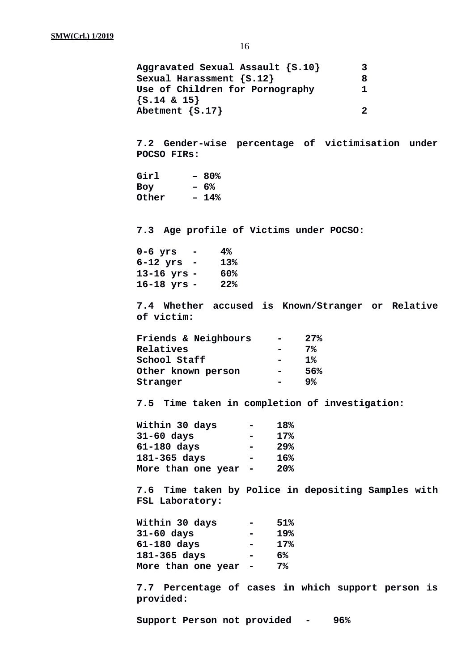**Aggravated Sexual Assault {S.10} 3 Sexual Harassment {S.12} 8 Use of Children for Pornography 1 {S.14 & 15} Abetment {S.17} 2 7.2 Gender-wise percentage of victimisation under POCSO FIRs: Girl – 80% Boy – 6% Other – 14% 7.3 Age profile of Victims under POCSO: 0-6 yrs - 4% 6-12 yrs - 13% 13-16 yrs - 60% 16-18 yrs - 22% 7.4 Whether accused is Known/Stranger or Relative of victim: Friends & Neighbours - 27% Relatives - 7% School Staff - 1% Other known person - 56% Stranger - 9% 7.5 Time taken in completion of investigation: Within 30 days - 18% 31-60 days - 17% 61-180 days - 29% 181-365 days - 16% More than one year - 20% 7.6 Time taken by Police in depositing Samples with FSL Laboratory: Within 30 days - 51% 31-60 days - 19% 61-180 days - 17% 181-365 days - 6% More than one year - 7% 7.7 Percentage of cases in which support person is provided:**

**Support Person not provided - 96%**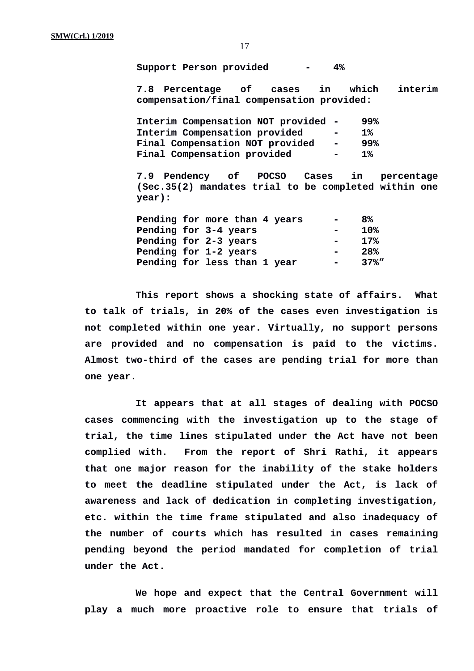**Support Person provided - 4%**

**7.8 Percentage of cases in which interim compensation/final compensation provided:**

| Interim Compensation NOT provided -    |                  | 99%       |
|----------------------------------------|------------------|-----------|
| Interim Compensation provided          | $\blacksquare$   | <b>1%</b> |
| <b>Final Compensation NOT provided</b> | $\sim$ 100 $\pm$ | 99%       |
| <b>Final Compensation provided</b>     | <b>COL</b>       | 1%        |

**7.9 Pendency of POCSO Cases in percentage (Sec.35(2) mandates trial to be completed within one year):**

|  | Pending for more than 4 years |                | <b>Contract Contract</b> | 8%       |
|--|-------------------------------|----------------|--------------------------|----------|
|  | Pending for 3-4 years         | $\blacksquare$ |                          | 10%      |
|  | Pending for 2-3 years         |                |                          | 17%      |
|  | Pending for 1-2 years         | $\blacksquare$ |                          | 28%      |
|  | Pending for less than 1 year  |                | <b>COL</b>               | $37\%$ " |

**This report shows a shocking state of affairs. What to talk of trials, in 20% of the cases even investigation is not completed within one year. Virtually, no support persons are provided and no compensation is paid to the victims. Almost two-third of the cases are pending trial for more than one year.**

**It appears that at all stages of dealing with POCSO cases commencing with the investigation up to the stage of trial, the time lines stipulated under the Act have not been complied with. From the report of Shri Rathi, it appears that one major reason for the inability of the stake holders to meet the deadline stipulated under the Act, is lack of awareness and lack of dedication in completing investigation, etc. within the time frame stipulated and also inadequacy of the number of courts which has resulted in cases remaining pending beyond the period mandated for completion of trial under the Act.**

**We hope and expect that the Central Government will play a much more proactive role to ensure that trials of**